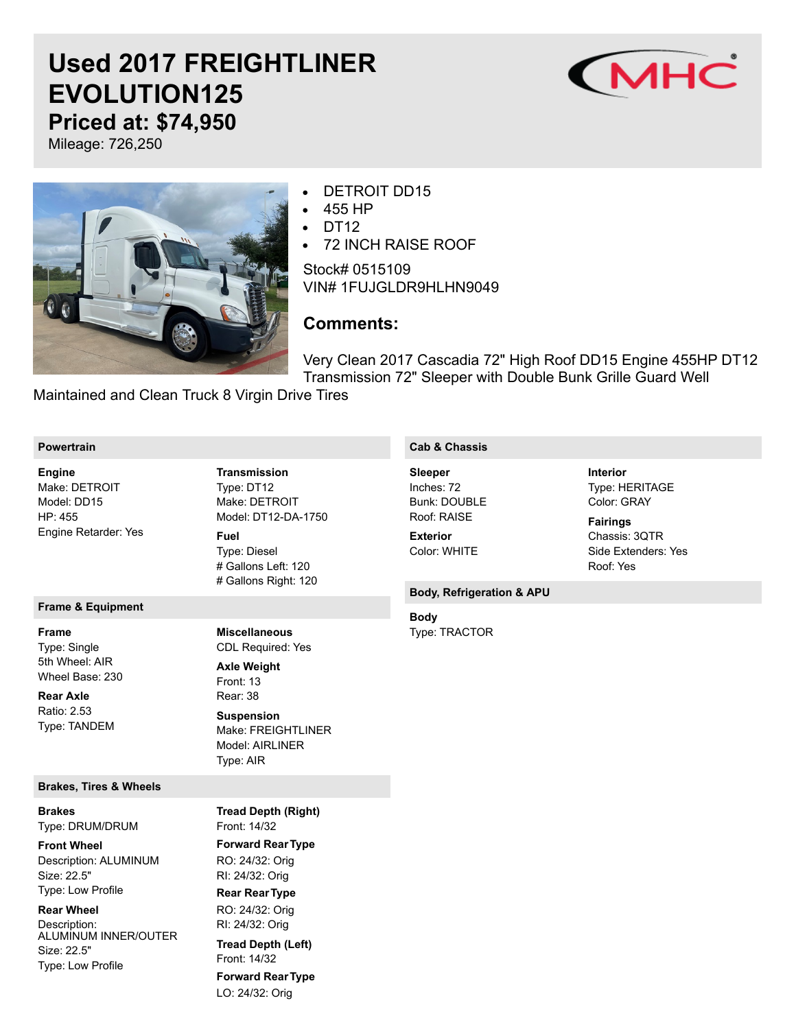# **Used 2017 FREIGHTLINER EVOLUTION125 Priced at: \$74,950**



Mileage: 726,250



## DETROIT DD15

- 455 HP
- DT<sub>12</sub>
- 72 INCH RAISE ROOF

Stock# 0515109 VIN# 1FUJGLDR9HLHN9049

## **Comments:**

Very Clean 2017 Cascadia 72" High Roof DD15 Engine 455HP DT12 Transmission 72" Sleeper with Double Bunk Grille Guard Well

Maintained and Clean Truck 8 Virgin Drive Tires

#### **Powertrain**

Make: DETROIT Model: DD15 HP: 455 Engine Retarder: Yes **Engine**

## **Frame & Equipment**

Type: Single 5th Wheel: AIR Wheel Base: 230 **Frame**

Ratio: 2.53 Type: TANDEM **Rear Axle**

#### **Brakes, Tires & Wheels**

Type: DRUM/DRUM **Brakes**

Description: ALUMINUM Size: 22.5" Type: Low Profile **Front Wheel**

#### **Rear Wheel**

Description: ALUMINUM INNER/OUTER Size: 22.5" Type: Low Profile

Type: DT12 Make: DETROIT Model: DT12-DA-1750 Type: Diesel **Transmission Fuel**

# Gallons Left: 120 # Gallons Right: 120

#### **Miscellaneous**

CDL Required: Yes

Front: 13 Rear: 38 Make: FREIGHTLINER Model: AIRLINER Type: AIR **Axle Weight Suspension**

Front: 14/32 **Forward RearType** RO: 24/32: Orig RI: 24/32: Orig **Rear RearType** RO: 24/32: Orig RI: 24/32: Orig Front: 14/32 **Forward RearType** LO: 24/32: Orig **Tread Depth (Right) Tread Depth (Left)**

### **Cab & Chassis**

Inches: 72 Bunk: DOUBLE Roof: RAISE **Sleeper**

Color: WHITE **Exterior**

#### **Body, Refrigeration & APU**

**Body**

Type: TRACTOR

## Type: HERITAGE Color: GRAY **Interior**

Chassis: 3QTR Side Extenders: Yes Roof: Yes **Fairings**